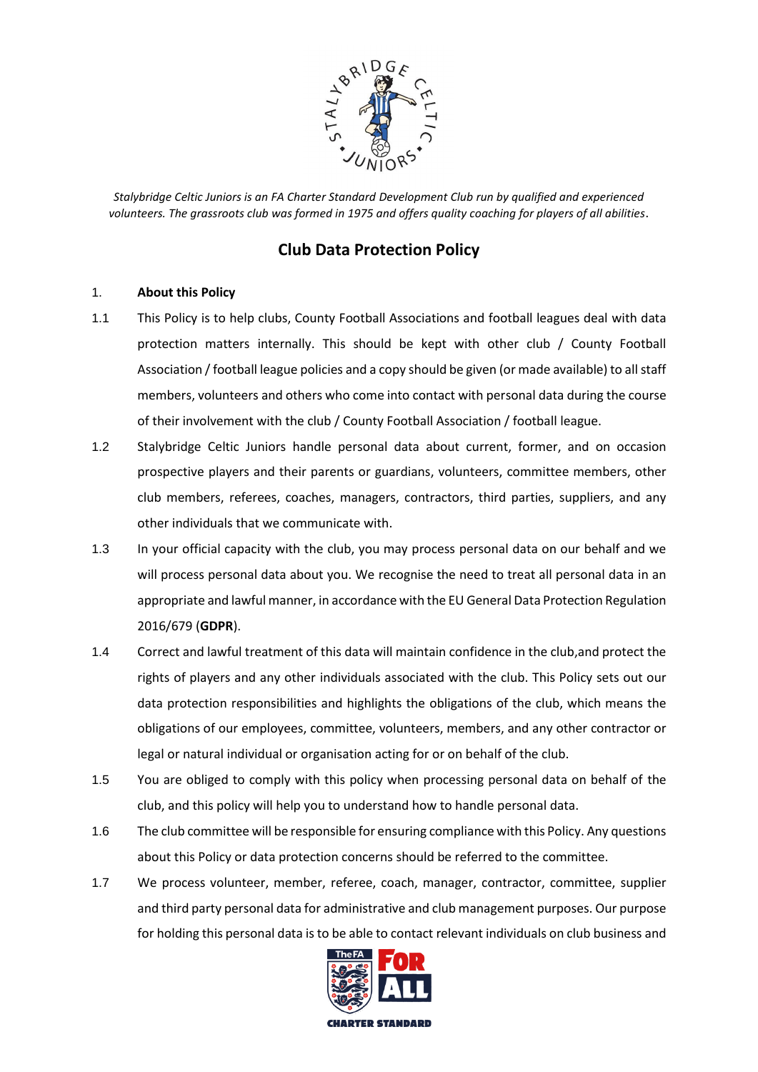

# **Club Data Protection Policy**

## 1. **About this Policy**

- 1.1 This Policy is to help clubs, County Football Associations and football leagues deal with data protection matters internally. This should be kept with other club / County Football Association / football league policies and a copy should be given (or made available) to all staff members, volunteers and others who come into contact with personal data during the course of their involvement with the club / County Football Association / football league.
- 1.2 Stalybridge Celtic Juniors handle personal data about current, former, and on occasion prospective players and their parents or guardians, volunteers, committee members, other club members, referees, coaches, managers, contractors, third parties, suppliers, and any other individuals that we communicate with.
- 1.3 In your official capacity with the club, you may process personal data on our behalf and we will process personal data about you. We recognise the need to treat all personal data in an appropriate and lawful manner, in accordance with the EU General Data Protection Regulation 2016/679 (**GDPR**).
- 1.4 Correct and lawful treatment of this data will maintain confidence in the club,and protect the rights of players and any other individuals associated with the club. This Policy sets out our data protection responsibilities and highlights the obligations of the club, which means the obligations of our employees, committee, volunteers, members, and any other contractor or legal or natural individual or organisation acting for or on behalf of the club.
- 1.5 You are obliged to comply with this policy when processing personal data on behalf of the club, and this policy will help you to understand how to handle personal data.
- 1.6 The club committee will be responsible for ensuring compliance with this Policy. Any questions about this Policy or data protection concerns should be referred to the committee.
- 1.7 We process volunteer, member, referee, coach, manager, contractor, committee, supplier and third party personal data for administrative and club management purposes. Our purpose for holding this personal data is to be able to contact relevant individuals on club business and

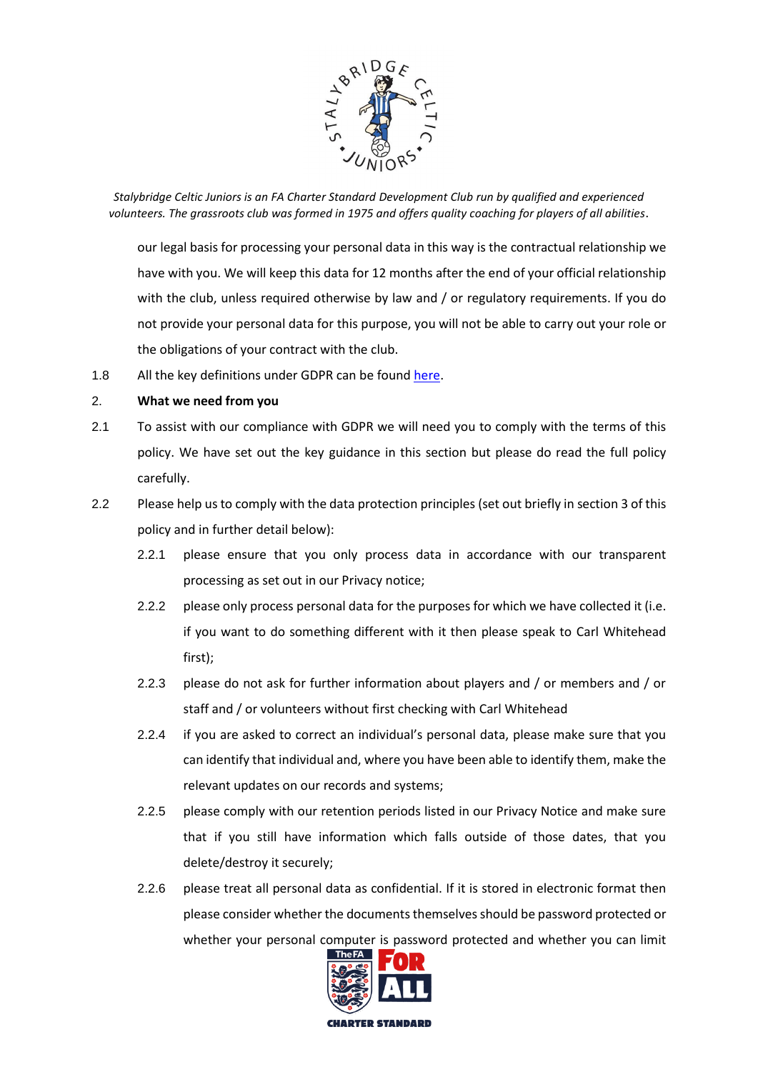

our legal basis for processing your personal data in this way is the contractual relationship we have with you. We will keep this data for 12 months after the end of your official relationship with the club, unless required otherwise by law and / or regulatory requirements. If you do not provide your personal data for this purpose, you will not be able to carry out your role or the obligations of your contract with the club.

1.8 All the key definitions under GDPR can be found [here.](https://ico.org.uk/for-organisations/guide-to-the-general-data-protection-regulation-gdpr/key-definitions/)

## 2. **What we need from you**

- 2.1 To assist with our compliance with GDPR we will need you to comply with the terms of this policy. We have set out the key guidance in this section but please do read the full policy carefully.
- 2.2 Please help us to comply with the data protection principles (set out briefly in section [3](#page-2-0) of this policy and in further detail below):
	- 2.2.1 please ensure that you only process data in accordance with our transparent processing as set out in our Privacy notice;
	- 2.2.2 please only process personal data for the purposes for which we have collected it (i.e. if you want to do something different with it then please speak to Carl Whitehead first);
	- 2.2.3 please do not ask for further information about players and / or members and / or staff and / or volunteers without first checking with Carl Whitehead
	- 2.2.4 if you are asked to correct an individual's personal data, please make sure that you can identify that individual and, where you have been able to identify them, make the relevant updates on our records and systems;
	- 2.2.5 please comply with our retention periods listed in our Privacy Notice and make sure that if you still have information which falls outside of those dates, that you delete/destroy it securely;
	- 2.2.6 please treat all personal data as confidential. If it is stored in electronic format then please consider whether the documents themselves should be password protected or whether your personal computer is password protected and whether you can limit

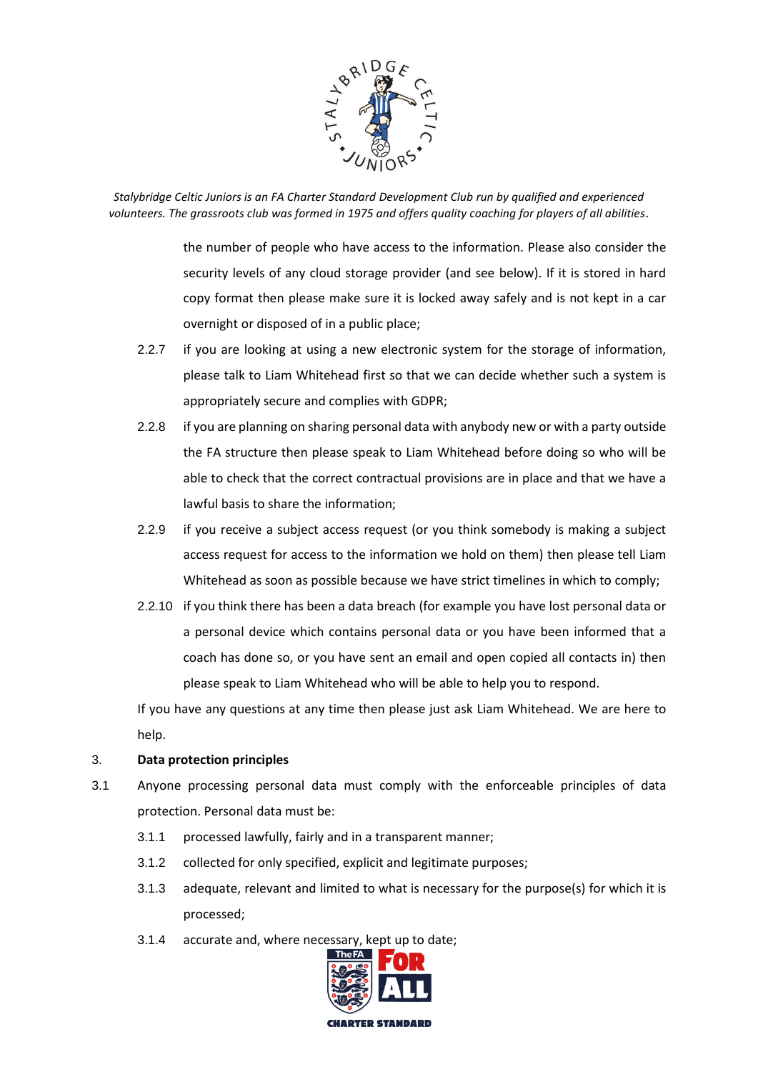

> the number of people who have access to the information. Please also consider the security levels of any cloud storage provider (and see below). If it is stored in hard copy format then please make sure it is locked away safely and is not kept in a car overnight or disposed of in a public place;

- 2.2.7 if you are looking at using a new electronic system for the storage of information, please talk to Liam Whitehead first so that we can decide whether such a system is appropriately secure and complies with GDPR;
- 2.2.8 if you are planning on sharing personal data with anybody new or with a party outside the FA structure then please speak to Liam Whitehead before doing so who will be able to check that the correct contractual provisions are in place and that we have a lawful basis to share the information;
- 2.2.9 if you receive a subject access request (or you think somebody is making a subject access request for access to the information we hold on them) then please tell Liam Whitehead as soon as possible because we have strict timelines in which to comply;
- 2.2.10 if you think there has been a data breach (for example you have lost personal data or a personal device which contains personal data or you have been informed that a coach has done so, or you have sent an email and open copied all contacts in) then please speak to Liam Whitehead who will be able to help you to respond.

If you have any questions at any time then please just ask Liam Whitehead. We are here to help.

#### <span id="page-2-0"></span>3. **Data protection principles**

- 3.1 Anyone processing personal data must comply with the enforceable principles of data protection. Personal data must be:
	- 3.1.1 processed lawfully, fairly and in a transparent manner;
	- 3.1.2 collected for only specified, explicit and legitimate purposes;
	- 3.1.3 adequate, relevant and limited to what is necessary for the purpose(s) for which it is processed;
	- 3.1.4 accurate and, where necessary, kept up to date;

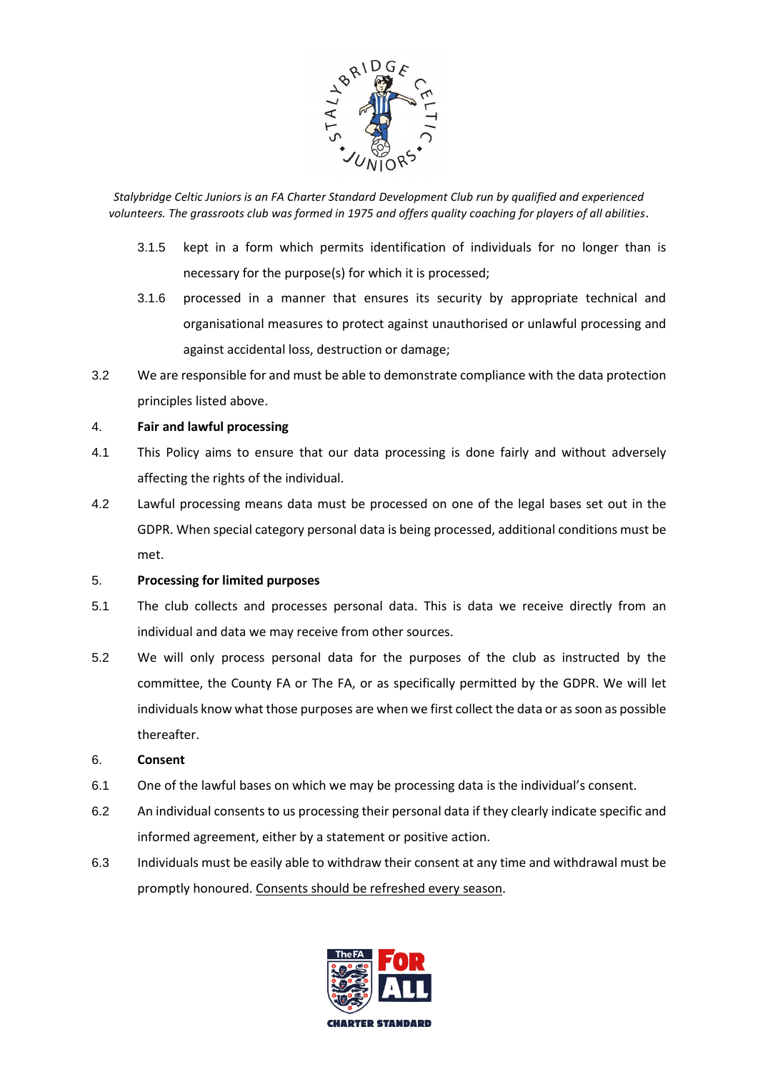

- 3.1.5 kept in a form which permits identification of individuals for no longer than is necessary for the purpose(s) for which it is processed;
- 3.1.6 processed in a manner that ensures its security by appropriate technical and organisational measures to protect against unauthorised or unlawful processing and against accidental loss, destruction or damage;
- 3.2 We are responsible for and must be able to demonstrate compliance with the data protection principles listed above.

## 4. **Fair and lawful processing**

- 4.1 This Policy aims to ensure that our data processing is done fairly and without adversely affecting the rights of the individual.
- 4.2 Lawful processing means data must be processed on one of the legal bases set out in the GDPR. When special category personal data is being processed, additional conditions must be met.

#### 5. **Processing for limited purposes**

- 5.1 The club collects and processes personal data. This is data we receive directly from an individual and data we may receive from other sources.
- 5.2 We will only process personal data for the purposes of the club as instructed by the committee, the County FA or The FA, or as specifically permitted by the GDPR. We will let individuals know what those purposes are when we first collect the data or as soon as possible thereafter.

#### 6. **Consent**

- 6.1 One of the lawful bases on which we may be processing data is the individual's consent.
- 6.2 An individual consents to us processing their personal data if they clearly indicate specific and informed agreement, either by a statement or positive action.
- 6.3 Individuals must be easily able to withdraw their consent at any time and withdrawal must be promptly honoured. Consents should be refreshed every season.

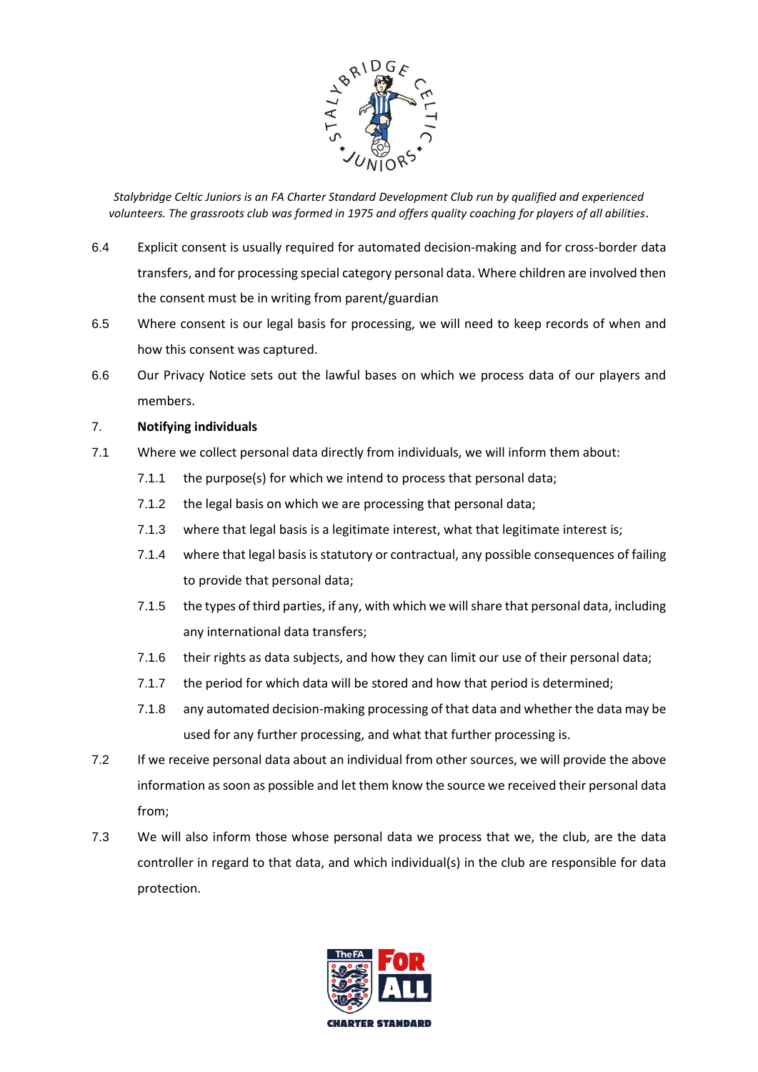

- 6.4 Explicit consent is usually required for automated decision-making and for cross-border data transfers, and for processing special category personal data. Where children are involved then the consent must be in writing from parent/guardian
- 6.5 Where consent is our legal basis for processing, we will need to keep records of when and how this consent was captured.
- 6.6 Our Privacy Notice sets out the lawful bases on which we process data of our players and members.

## 7. **Notifying individuals**

- 7.1 Where we collect personal data directly from individuals, we will inform them about:
	- 7.1.1 the purpose(s) for which we intend to process that personal data;
	- 7.1.2 the legal basis on which we are processing that personal data;
	- 7.1.3 where that legal basis is a legitimate interest, what that legitimate interest is;
	- 7.1.4 where that legal basis is statutory or contractual, any possible consequences of failing to provide that personal data;
	- 7.1.5 the types of third parties, if any, with which we will share that personal data, including any international data transfers;
	- 7.1.6 their rights as data subjects, and how they can limit our use of their personal data;
	- 7.1.7 the period for which data will be stored and how that period is determined;
	- 7.1.8 any automated decision-making processing of that data and whether the data may be used for any further processing, and what that further processing is.
- 7.2 If we receive personal data about an individual from other sources, we will provide the above information as soon as possible and let them know the source we received their personal data from;
- 7.3 We will also inform those whose personal data we process that we, the club, are the data controller in regard to that data, and which individual(s) in the club are responsible for data protection.

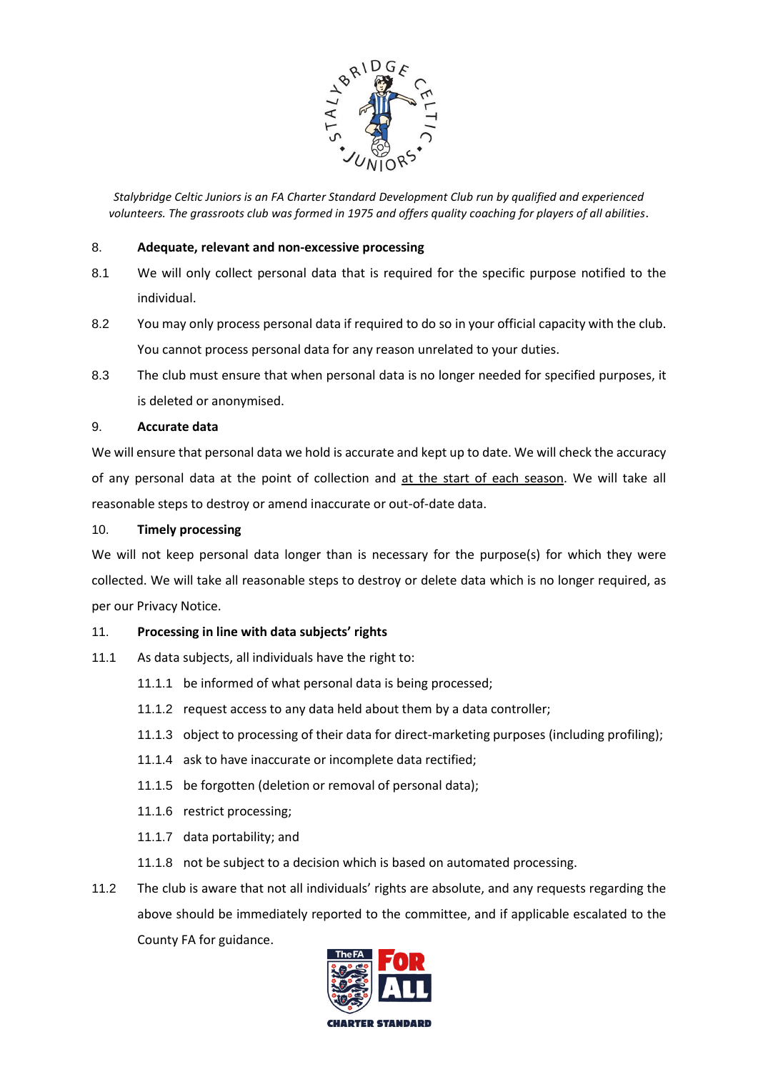

#### 8. **Adequate, relevant and non-excessive processing**

- 8.1 We will only collect personal data that is required for the specific purpose notified to the individual.
- 8.2 You may only process personal data if required to do so in your official capacity with the club. You cannot process personal data for any reason unrelated to your duties.
- 8.3 The club must ensure that when personal data is no longer needed for specified purposes, it is deleted or anonymised.

## 9. **Accurate data**

We will ensure that personal data we hold is accurate and kept up to date. We will check the accuracy of any personal data at the point of collection and at the start of each season. We will take all reasonable steps to destroy or amend inaccurate or out-of-date data.

## 10. **Timely processing**

We will not keep personal data longer than is necessary for the purpose(s) for which they were collected. We will take all reasonable steps to destroy or delete data which is no longer required, as per our Privacy Notice.

#### 11. **Processing in line with data subjects' rights**

- 11.1 As data subjects, all individuals have the right to:
	- 11.1.1 be informed of what personal data is being processed;
	- 11.1.2 request access to any data held about them by a data controller;
	- 11.1.3 object to processing of their data for direct-marketing purposes (including profiling);
	- 11.1.4 ask to have inaccurate or incomplete data rectified;
	- 11.1.5 be forgotten (deletion or removal of personal data);
	- 11.1.6 restrict processing;
	- 11.1.7 data portability; and
	- 11.1.8 not be subject to a decision which is based on automated processing.
- 11.2 The club is aware that not all individuals' rights are absolute, and any requests regarding the above should be immediately reported to the committee, and if applicable escalated to the County FA for guidance.

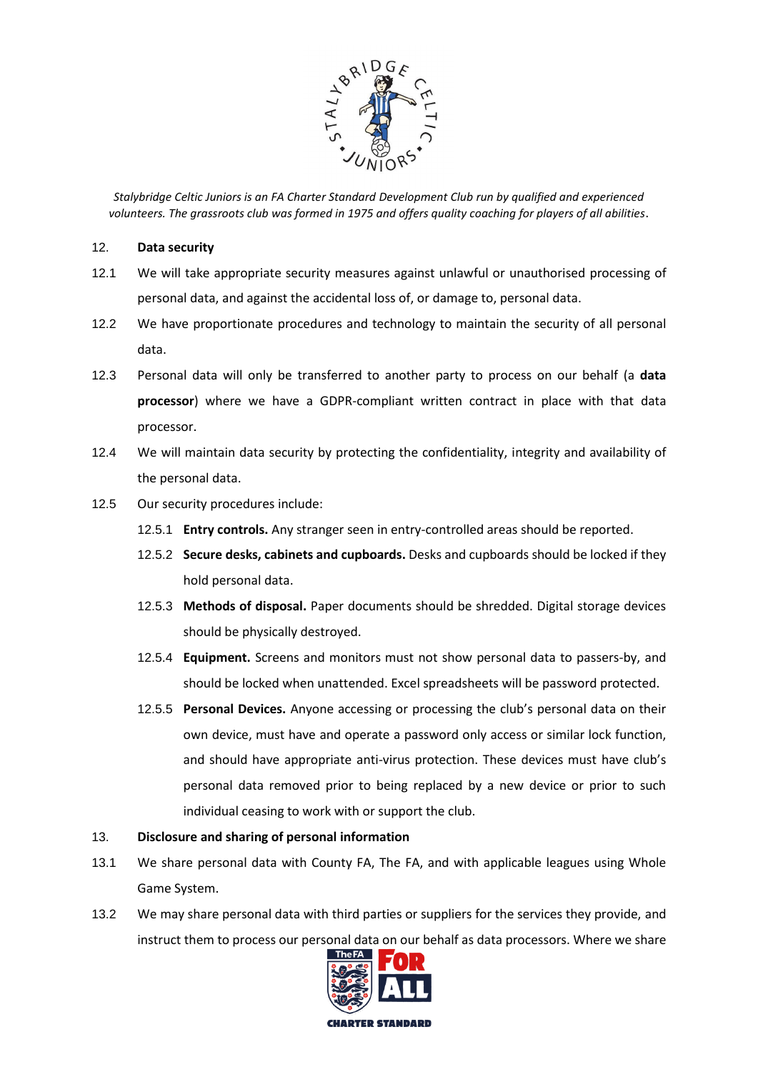

#### 12. **Data security**

- 12.1 We will take appropriate security measures against unlawful or unauthorised processing of personal data, and against the accidental loss of, or damage to, personal data.
- 12.2 We have proportionate procedures and technology to maintain the security of all personal data.
- 12.3 Personal data will only be transferred to another party to process on our behalf (a **data processor**) where we have a GDPR-compliant written contract in place with that data processor.
- 12.4 We will maintain data security by protecting the confidentiality, integrity and availability of the personal data.
- 12.5 Our security procedures include:
	- 12.5.1 **Entry controls.** Any stranger seen in entry-controlled areas should be reported.
	- 12.5.2 **Secure desks, cabinets and cupboards.** Desks and cupboards should be locked if they hold personal data.
	- 12.5.3 **Methods of disposal.** Paper documents should be shredded. Digital storage devices should be physically destroyed.
	- 12.5.4 **Equipment.** Screens and monitors must not show personal data to passers-by, and should be locked when unattended. Excel spreadsheets will be password protected.
	- 12.5.5 **Personal Devices.** Anyone accessing or processing the club's personal data on their own device, must have and operate a password only access or similar lock function, and should have appropriate anti-virus protection. These devices must have club's personal data removed prior to being replaced by a new device or prior to such individual ceasing to work with or support the club.

#### 13. **Disclosure and sharing of personal information**

- 13.1 We share personal data with County FA, The FA, and with applicable leagues using Whole Game System.
- 13.2 We may share personal data with third parties or suppliers for the services they provide, and instruct them to process our personal data on our behalf as data processors. Where we share

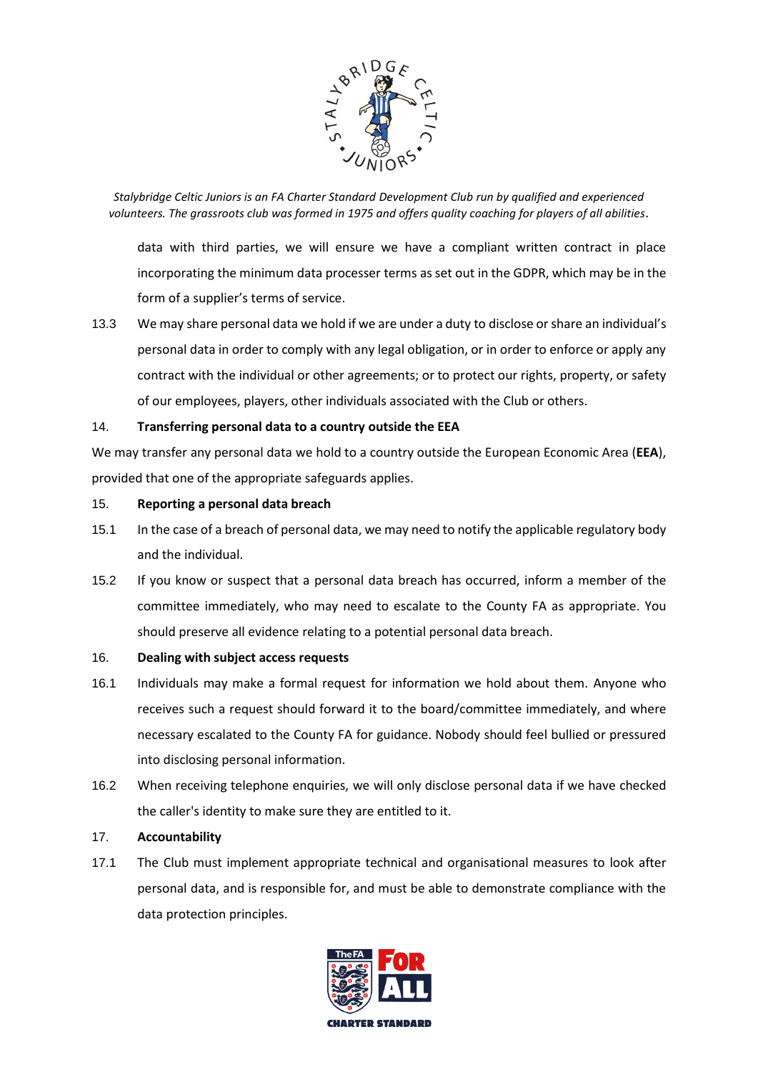

data with third parties, we will ensure we have a compliant written contract in place incorporating the minimum data processer terms as set out in the GDPR, which may be in the form of a supplier's terms of service.

13.3 We may share personal data we hold if we are under a duty to disclose or share an individual's personal data in order to comply with any legal obligation, or in order to enforce or apply any contract with the individual or other agreements; or to protect our rights, property, or safety of our employees, players, other individuals associated with the Club or others.

## 14. **Transferring personal data to a country outside the EEA**

We may transfer any personal data we hold to a country outside the European Economic Area (**EEA**), provided that one of the appropriate safeguards applies.

#### 15. **Reporting a personal data breach**

- 15.1 In the case of a breach of personal data, we may need to notify the applicable regulatory body and the individual.
- 15.2 If you know or suspect that a personal data breach has occurred, inform a member of the committee immediately, who may need to escalate to the County FA as appropriate. You should preserve all evidence relating to a potential personal data breach.

#### 16. **Dealing with subject access requests**

- 16.1 Individuals may make a formal request for information we hold about them. Anyone who receives such a request should forward it to the board/committee immediately, and where necessary escalated to the County FA for guidance. Nobody should feel bullied or pressured into disclosing personal information.
- 16.2 When receiving telephone enquiries, we will only disclose personal data if we have checked the caller's identity to make sure they are entitled to it.

## 17. **Accountability**

17.1 The Club must implement appropriate technical and organisational measures to look after personal data, and is responsible for, and must be able to demonstrate compliance with the data protection principles.